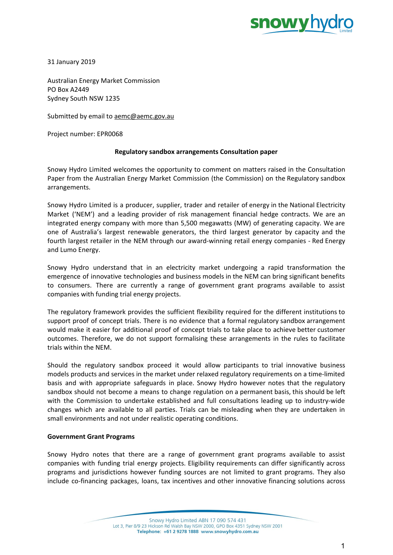

31 January 2019

Australian Energy Market Commission PO Box A2449 Sydney South NSW 1235

Submitted by email to [aemc@aemc.gov.au](mailto:aemc@aemc.gov.au)

Project number: EPR0068

## **Regulatory sandbox arrangements Consultation paper**

Snowy Hydro Limited welcomes the opportunity to comment on matters raised in the Consultation Paper from the Australian Energy Market Commission (the Commission) on the Regulatory sandbox arrangements.

Snowy Hydro Limited is a producer, supplier, trader and retailer of energy in the National Electricity Market ('NEM') and a leading provider of risk management financial hedge contracts. We are an integrated energy company with more than 5,500 megawatts (MW) of generating capacity. We are one of Australia's largest renewable generators, the third largest generator by capacity and the fourth largest retailer in the NEM through our award-winning retail energy companies - Red Energy and Lumo Energy.

Snowy Hydro understand that in an electricity market undergoing a rapid transformation the emergence of innovative technologies and business models in the NEM can bring significant benefits to consumers. There are currently a range of government grant programs available to assist companies with funding trial energy projects.

The regulatory framework provides the sufficient flexibility required for the different institutions to support proof of concept trials. There is no evidence that a formal regulatory sandbox arrangement would make it easier for additional proof of concept trials to take place to achieve better customer outcomes. Therefore, we do not support formalising these arrangements in the rules to facilitate trials within the NEM.

Should the regulatory sandbox proceed it would allow participants to trial innovative business models products and services in the market under relaxed regulatory requirements on a time-limited basis and with appropriate safeguards in place. Snowy Hydro however notes that the regulatory sandbox should not become a means to change regulation on a permanent basis, this should be left with the Commission to undertake established and full consultations leading up to industry-wide changes which are available to all parties. Trials can be misleading when they are undertaken in small environments and not under realistic operating conditions.

## **Government Grant Programs**

Snowy Hydro notes that there are a range of government grant programs available to assist companies with funding trial energy projects. Eligibility requirements can differ significantly across programs and jurisdictions however funding sources are not limited to grant programs. They also include co-financing packages, loans, tax incentives and other innovative financing solutions across

> Snowy Hydro Limited ABN 17 090 574 431 Lot 3, Pier 8/9 23 Hickson Rd Walsh Bay NSW 2000, GPO Box 4351 Sydney NSW 2001 Telephone: +61 2 9278 1888 www.snowyhydro.com.au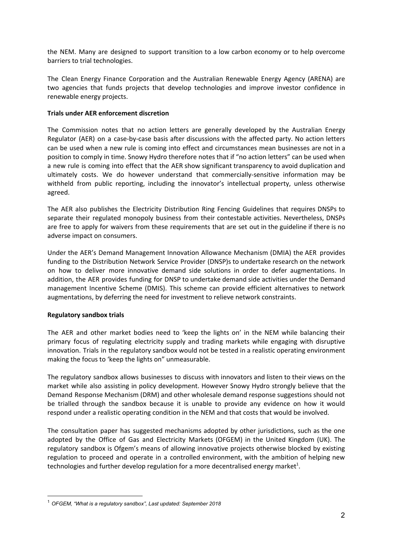the NEM. Many are designed to support transition to a low carbon economy or to help overcome barriers to trial technologies.

The Clean Energy Finance Corporation and the Australian Renewable Energy Agency (ARENA) are two agencies that funds projects that develop technologies and improve investor confidence in renewable energy projects.

## **Trials under AER enforcement discretion**

The Commission notes that no action letters are generally developed by the Australian Energy Regulator (AER) on a case-by-case basis after discussions with the affected party. No action letters can be used when a new rule is coming into effect and circumstances mean businesses are not in a position to comply in time. Snowy Hydro therefore notes that if "no action letters" can be used when a new rule is coming into effect that the AER show significant transparency to avoid duplication and ultimately costs. We do however understand that commercially-sensitive information may be withheld from public reporting, including the innovator's intellectual property, unless otherwise agreed.

The AER also publishes the Electricity Distribution Ring Fencing Guidelines that requires DNSPs to separate their regulated monopoly business from their contestable activities. Nevertheless, DNSPs are free to apply for waivers from these requirements that are set out in the guideline if there is no adverse impact on consumers.

Under the AER's Demand Management Innovation Allowance Mechanism (DMIA) the AER provides funding to the Distribution Network Service Provider (DNSP)s to undertake research on the network on how to deliver more innovative demand side solutions in order to defer augmentations. In addition, the AER provides funding for DNSP to undertake demand side activities under the Demand management Incentive Scheme (DMIS). This scheme can provide efficient alternatives to network augmentations, by deferring the need for investment to relieve network constraints.

## **Regulatory sandbox trials**

The AER and other market bodies need to 'keep the lights on' in the NEM while balancing their primary focus of regulating electricity supply and trading markets while engaging with disruptive innovation. Trials in the regulatory sandbox would not be tested in a realistic operating environment making the focus to 'keep the lights on" unmeasurable.

The regulatory sandbox allows businesses to discuss with innovators and listen to their views on the market while also assisting in policy development. However Snowy Hydro strongly believe that the Demand Response Mechanism (DRM) and other wholesale demand response suggestions should not be trialled through the sandbox because it is unable to provide any evidence on how it would respond under a realistic operating condition in the NEM and that costs that would be involved.

The consultation paper has suggested mechanisms adopted by other jurisdictions, such as the one adopted by the Office of Gas and Electricity Markets (OFGEM) in the United Kingdom (UK). The regulatory sandbox is Ofgem's means of allowing innovative projects otherwise blocked by existing regulation to proceed and operate in a controlled environment, with the ambition of helping new technologies and further develop regulation for a more decentralised energy market<sup>1</sup>.

<sup>1</sup> *OFGEM, "What is a regulatory sandbox", Last updated: September 2018*